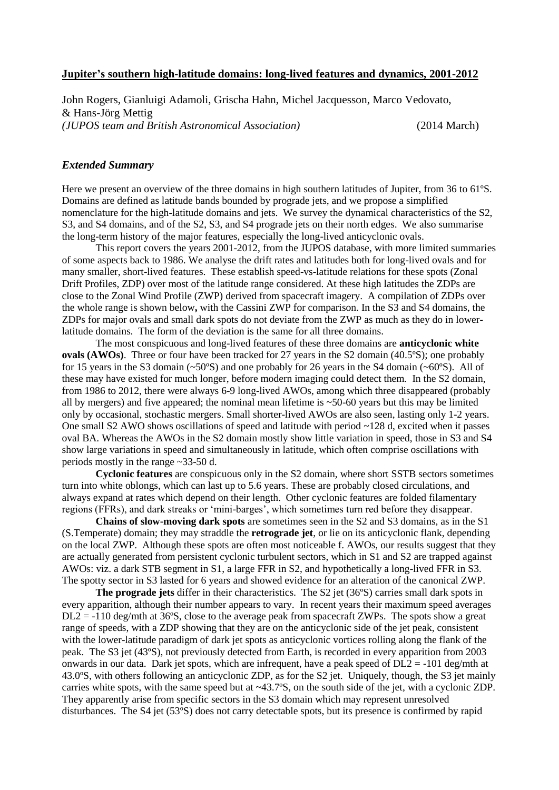## **Jupiter's southern high-latitude domains: long-lived features and dynamics, 2001-2012**

John Rogers, Gianluigi Adamoli, Grischa Hahn, Michel Jacquesson, Marco Vedovato, & Hans-Jörg Mettig *(JUPOS team and British Astronomical Association)* (2014 March)

## *Extended Summary*

Here we present an overview of the three domains in high southern latitudes of Jupiter, from 36 to 61ºS. Domains are defined as latitude bands bounded by prograde jets, and we propose a simplified nomenclature for the high-latitude domains and jets. We survey the dynamical characteristics of the S2, S3, and S4 domains, and of the S2, S3, and S4 prograde jets on their north edges. We also summarise the long-term history of the major features, especially the long-lived anticyclonic ovals.

This report covers the years 2001-2012, from the JUPOS database, with more limited summaries of some aspects back to 1986. We analyse the drift rates and latitudes both for long-lived ovals and for many smaller, short-lived features. These establish speed-vs-latitude relations for these spots (Zonal Drift Profiles, ZDP) over most of the latitude range considered. At these high latitudes the ZDPs are close to the Zonal Wind Profile (ZWP) derived from spacecraft imagery. A compilation of ZDPs over the whole range is shown below**,** with the Cassini ZWP for comparison. In the S3 and S4 domains, the ZDPs for major ovals and small dark spots do not deviate from the ZWP as much as they do in lowerlatitude domains. The form of the deviation is the same for all three domains.

The most conspicuous and long-lived features of these three domains are **anticyclonic white ovals (AWOs)**. Three or four have been tracked for 27 years in the S2 domain (40.5°S); one probably for 15 years in the S3 domain (~50ºS) and one probably for 26 years in the S4 domain (~60ºS). All of these may have existed for much longer, before modern imaging could detect them. In the S2 domain, from 1986 to 2012, there were always 6-9 long-lived AWOs, among which three disappeared (probably all by mergers) and five appeared; the nominal mean lifetime is  $\sim$  50-60 years but this may be limited only by occasional, stochastic mergers. Small shorter-lived AWOs are also seen, lasting only 1-2 years. One small S2 AWO shows oscillations of speed and latitude with period ~128 d, excited when it passes oval BA. Whereas the AWOs in the S2 domain mostly show little variation in speed, those in S3 and S4 show large variations in speed and simultaneously in latitude, which often comprise oscillations with periods mostly in the range ~33-50 d.

**Cyclonic features** are conspicuous only in the S2 domain, where short SSTB sectors sometimes turn into white oblongs, which can last up to 5.6 years. These are probably closed circulations, and always expand at rates which depend on their length. Other cyclonic features are folded filamentary regions (FFRs), and dark streaks or 'mini-barges', which sometimes turn red before they disappear.

**Chains of slow-moving dark spots** are sometimes seen in the S2 and S3 domains, as in the S1 (S.Temperate) domain; they may straddle the **retrograde jet**, or lie on its anticyclonic flank, depending on the local ZWP. Although these spots are often most noticeable f. AWOs, our results suggest that they are actually generated from persistent cyclonic turbulent sectors, which in S1 and S2 are trapped against AWOs: viz. a dark STB segment in S1, a large FFR in S2, and hypothetically a long-lived FFR in S3. The spotty sector in S3 lasted for 6 years and showed evidence for an alteration of the canonical ZWP.

**The prograde jets** differ in their characteristics. The S2 jet (36ºS) carries small dark spots in every apparition, although their number appears to vary. In recent years their maximum speed averages  $DL2 = -110$  deg/mth at 36°S, close to the average peak from spacecraft ZWPs. The spots show a great range of speeds, with a ZDP showing that they are on the anticyclonic side of the jet peak, consistent with the lower-latitude paradigm of dark jet spots as anticyclonic vortices rolling along the flank of the peak. The S3 jet (43ºS), not previously detected from Earth, is recorded in every apparition from 2003 onwards in our data. Dark jet spots, which are infrequent, have a peak speed of DL2 = -101 deg/mth at 43.0ºS, with others following an anticyclonic ZDP, as for the S2 jet. Uniquely, though, the S3 jet mainly carries white spots, with the same speed but at ~43.7ºS, on the south side of the jet, with a cyclonic ZDP. They apparently arise from specific sectors in the S3 domain which may represent unresolved disturbances. The S4 jet (53ºS) does not carry detectable spots, but its presence is confirmed by rapid